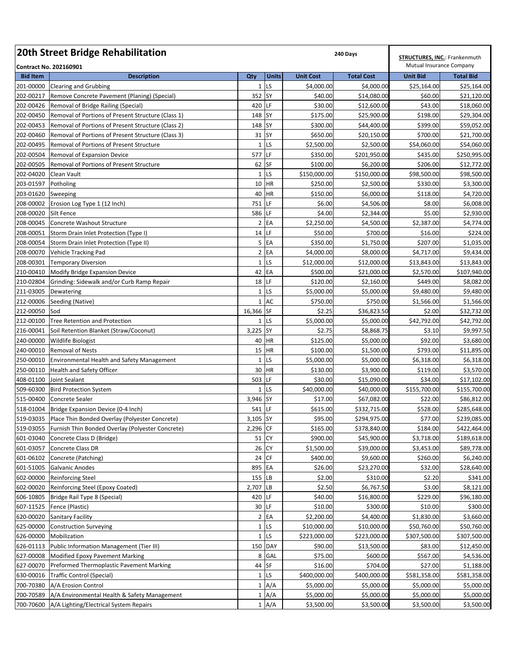| 20th Street Bridge Rehabilitation | <b>STRUCTURES, INC.: Frankenmuth</b>                                                           |                 |              |                        |                           |                          |                             |
|-----------------------------------|------------------------------------------------------------------------------------------------|-----------------|--------------|------------------------|---------------------------|--------------------------|-----------------------------|
|                                   | <b>Contract No. 202160901</b>                                                                  |                 |              |                        |                           | Mutual Insurance Company |                             |
| <b>Bid Item</b>                   | <b>Description</b>                                                                             | Qty             | <b>Units</b> | <b>Unit Cost</b>       | <b>Total Cost</b>         | <b>Unit Bid</b>          | <b>Total Bid</b>            |
| 201-00000                         | <b>Clearing and Grubbing</b>                                                                   |                 | $1$ LS       | \$4,000.00             | \$4,000.00                | \$25,164.00              | \$25,164.00                 |
| 202-00217                         | Remove Concrete Pavement (Planing) (Special)                                                   | 352 SY          |              | \$40.00                | \$14,080.00               | \$60.00                  | \$21,120.00                 |
| 202-00426                         | Removal of Bridge Railing (Special)                                                            | 420 LF          |              | \$30.00                | \$12,600.00               | \$43.00                  | \$18,060.00                 |
| 202-00450                         | Removal of Portions of Present Structure (Class 1)                                             | 148 SY          |              | \$175.00               | \$25,900.00               | \$198.00                 | \$29,304.00                 |
| 202-00453                         | Removal of Portions of Present Structure (Class 2)                                             | 148 SY<br>31 SY |              | \$300.00               | \$44,400.00               | \$399.00                 | \$59,052.00                 |
| 202-00460<br>202-00495            | Removal of Portions of Present Structure (Class 3)<br>Removal of Portions of Present Structure |                 | $1$ LS       | \$650.00<br>\$2,500.00 | \$20,150.00<br>\$2,500.00 | \$700.00<br>\$54,060.00  | \$21,700.00<br>\$54,060.00  |
| 202-00504                         |                                                                                                | 577             | LF           | \$350.00               | \$201,950.00              | \$435.00                 |                             |
| 202-00505                         | Removal of Expansion Device<br>Removal of Portions of Present Structure                        | 62 SF           |              | \$100.00               | \$6,200.00                | \$206.00                 | \$250,995.00<br>\$12,772.00 |
| 202-04020                         | Clean Vault                                                                                    |                 | $1$ LS       | \$150,000.00           | \$150,000.00              | \$98,500.00              | \$98,500.00                 |
| 203-01597                         | Potholing                                                                                      |                 | 10 HR        | \$250.00               | \$2,500.00                | \$330.00                 | \$3,300.00                  |
| 203-01620                         | Sweeping                                                                                       |                 | 40 HR        | \$150.00               | \$6,000.00                | \$118.00                 | \$4,720.00                  |
|                                   | 208-00002 Erosion Log Type 1 (12 Inch)                                                         | 751 LF          |              | \$6.00                 | \$4,506.00                | \$8.00                   | \$6,008.00                  |
| 208-00020                         | Silt Fence                                                                                     | 586 LF          |              | \$4.00                 | \$2,344.00                | \$5.00                   | \$2,930.00                  |
| 208-00045                         | Concrete Washout Structure                                                                     |                 | $2$ EA       | \$2,250.00             | \$4,500.00                | \$2,387.00               | \$4,774.00                  |
| 208-00051                         | Storm Drain Inlet Protection (Type I)                                                          | 14 LF           |              | \$50.00                | \$700.00                  | \$16.00                  | \$224.00                    |
|                                   | 208-00054 Storm Drain Inlet Protection (Type II)                                               |                 | 5 EA         | \$350.00               | \$1,750.00                | \$207.00                 | \$1,035.00                  |
| 208-00070                         | Vehicle Tracking Pad                                                                           |                 | $2$ EA       | \$4,000.00             | \$8,000.00                | \$4,717.00               | \$9,434.00                  |
| 208-00301                         | <b>Temporary Diversion</b>                                                                     |                 | $1$ LS       | \$12,000.00            | \$12,000.00               | \$13,843.00              | \$13,843.00                 |
| 210-00410                         | Modify Bridge Expansion Device                                                                 | 42 EA           |              | \$500.00               | \$21,000.00               | \$2,570.00               | \$107,940.00                |
| 210-02804                         | Grinding: Sidewalk and/or Curb Ramp Repair                                                     | $18$ LF         |              | \$120.00               | \$2,160.00                | \$449.00                 | \$8,082.00                  |
| 211-03005                         | Dewatering                                                                                     |                 | $1$ LS       | \$5,000.00             | \$5,000.00                | \$9,480.00               | \$9,480.00                  |
| 212-00006                         | Seeding (Native)                                                                               |                 | 1 AC         | \$750.00               | \$750.00                  | \$1,566.00               | \$1,566.00                  |
| 212-00050                         | Sod                                                                                            | 16,366 SF       |              | \$2.25                 | \$36,823.50               | \$2.00                   | \$32,732.00                 |
| 212-00100                         | <b>Tree Retention and Protection</b>                                                           |                 | $1$ LS       | \$5,000.00             | \$5,000.00                | \$42,792.00              | \$42,792.00                 |
| 216-00041                         | Soil Retention Blanket (Straw/Coconut)                                                         | 3,225           | <b>SY</b>    | \$2.75                 | \$8,868.75                | \$3.10                   | \$9,997.50                  |
| 240-00000                         | <b>Wildlife Biologist</b>                                                                      | 40              | <b>HR</b>    | \$125.00               | \$5,000.00                | \$92.00                  | \$3,680.00                  |
| 240-00010                         | <b>Removal of Nests</b>                                                                        | 15              | <b>HR</b>    | \$100.00               | \$1,500.00                | \$793.00                 | \$11,895.00                 |
| 250-00010                         | <b>Environmental Health and Safety Management</b>                                              | $\mathbf{1}$    | LS           | \$5,000.00             | \$5,000.00                | \$6,318.00               | \$6,318.00                  |
| 250-00110                         | Health and Safety Officer                                                                      |                 | 30 HR        | \$130.00               | \$3,900.00                | \$119.00                 | \$3,570.00                  |
| 408-01100                         | Joint Sealant                                                                                  | 503             | LF           | \$30.00                | \$15,090.00               | \$34.00                  | \$17,102.00                 |
| 509-60300                         | <b>Bird Protection System</b>                                                                  |                 | $1$ LS       | \$40,000.00            | \$40,000.00               | \$155,700.00             | \$155,700.00                |
| 515-00400                         | <b>Concrete Sealer</b>                                                                         | 3,946 SY        |              | \$17.00                | \$67,082.00               | \$22.00                  | \$86,812.00                 |
|                                   | 518-01004   Bridge Expansion Device (0-4 Inch)                                                 | 541 LF          |              | \$615.00               | \$332,715.00              | \$528.00                 | \$285,648.00                |
|                                   | 519-03035 Place Thin Bonded Overlay (Polyester Concrete)                                       | 3,105 SY        |              | \$95.00                | \$294,975.00              | \$77.00                  | \$239,085.00                |
|                                   | 519-03055   Furnish Thin Bonded Overlay (Polyester Concrete)                                   | 2,296 CF        |              | \$165.00               | \$378,840.00              | \$184.00                 | \$422,464.00                |
|                                   | 601-03040 Concrete Class D (Bridge)                                                            | 51 CY           |              | \$900.00               | \$45,900.00               | \$3,718.00               | \$189,618.00                |
|                                   | 601-03057 Concrete Class DR                                                                    | 26 CY           |              | \$1,500.00             | \$39,000.00               | \$3,453.00               | \$89,778.00                 |
|                                   | 601-06102 Concrete (Patching)                                                                  | 24 CF           |              | \$400.00               | \$9,600.00                | \$260.00                 | \$6,240.00                  |
| 601-51005                         | <b>Galvanic Anodes</b>                                                                         | 895 EA          |              | \$26.00                | \$23,270.00               | \$32.00                  | \$28,640.00                 |
| 602-00000                         | <b>Reinforcing Steel</b>                                                                       | 155 LB          |              | \$2.00                 | \$310.00                  | \$2.20                   | \$341.00                    |
| 602-00020                         | Reinforcing Steel (Epoxy Coated)                                                               | 2,707 LB        |              | \$2.50                 | \$6,767.50                | \$3.00                   | \$8,121.00                  |
| 606-10805                         | Bridge Rail Type 8 (Special)                                                                   | 420 LF          |              | \$40.00                | \$16,800.00               | \$229.00                 | \$96,180.00                 |
| 607-11525                         | Fence (Plastic)                                                                                | 30 LF           |              | \$10.00                | \$300.00                  | \$10.00                  | \$300.00                    |
| 620-00020                         | <b>Sanitary Facility</b>                                                                       |                 | $2$ EA       | \$2,200.00             | \$4,400.00                | \$1,830.00               | \$3,660.00                  |
| 625-00000                         | <b>Construction Surveying</b>                                                                  |                 | $1$ LS       | \$10,000.00            | \$10,000.00               | \$50,760.00              | \$50,760.00                 |
| 626-00000                         | Mobilization                                                                                   |                 | $1$ LS       | \$223,000.00           | \$223,000.00              | \$307,500.00             | \$307,500.00                |
|                                   | 626-01113 Public Information Management (Tier III)                                             |                 | 150 DAY      | \$90.00                | \$13,500.00               | \$83.00                  | \$12,450.00                 |
| 627-00008                         | Modified Epoxy Pavement Marking                                                                | 8               | GAL          | \$75.00                | \$600.00                  | \$567.00                 | \$4,536.00                  |
| 627-00070                         | Preformed Thermoplastic Pavement Marking                                                       | 44 SF           |              | \$16.00                | \$704.00                  | \$27.00                  | \$1,188.00                  |
| 630-00016                         | <b>Traffic Control (Special)</b>                                                               |                 | $1$ LS       | \$400,000.00           | \$400,000.00              | \$581,358.00             | \$581,358.00                |
| 700-70380                         | A/A Erosion Control                                                                            |                 | 1 A/A        | \$5,000.00             | \$5,000.00                | \$5,000.00               | \$5,000.00                  |
| 700-70589                         | A/A Environmental Health & Safety Management                                                   |                 | 1 A/A        | \$5,000.00             | \$5,000.00                | \$5,000.00               | \$5,000.00                  |
| 700-70600                         | A/A Lighting/Electrical System Repairs                                                         |                 | 1 A/A        | \$3,500.00             | \$3,500.00                | \$3,500.00               | \$3,500.00                  |